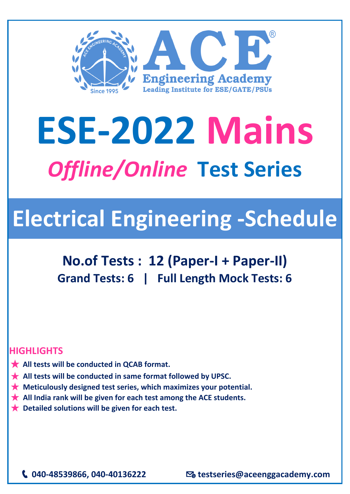

## **ESE-2022 Mains** *Offline/Online* **Test Series**

## **Electrical Engineering -Schedule**

**No.of Tests : 12 (Paper-I + Paper-II) Grand Tests: 6 | Full Length Mock Tests: 6** 

## **HIGHLIGHTS**

- ★ **All tests will be conducted in QCAB format.**
- ★ **All tests will be conducted in same format followed by UPSC.**
- ★ **Meticulously designed test series, which maximizes your potential.**
- **★** All India rank will be given for each test among the ACE students.
- ★ **Detailed solutions will be given for each test.**

**040-48539866, 040-40136222 testseries@aceenggacademy.com**